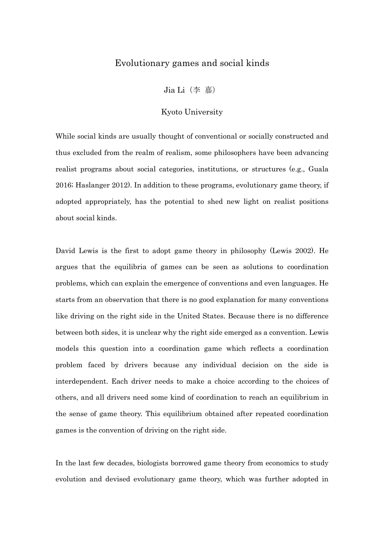## Evolutionary games and social kinds

Jia Li(李 嘉)

## Kyoto University

While social kinds are usually thought of conventional or socially constructed and thus excluded from the realm of realism, some philosophers have been advancing realist programs about social categories, institutions, or structures (e.g., Guala 2016; Haslanger 2012). In addition to these programs, evolutionary game theory, if adopted appropriately, has the potential to shed new light on realist positions about social kinds.

David Lewis is the first to adopt game theory in philosophy (Lewis 2002). He argues that the equilibria of games can be seen as solutions to coordination problems, which can explain the emergence of conventions and even languages. He starts from an observation that there is no good explanation for many conventions like driving on the right side in the United States. Because there is no difference between both sides, it is unclear why the right side emerged as a convention. Lewis models this question into a coordination game which reflects a coordination problem faced by drivers because any individual decision on the side is interdependent. Each driver needs to make a choice according to the choices of others, and all drivers need some kind of coordination to reach an equilibrium in the sense of game theory. This equilibrium obtained after repeated coordination games is the convention of driving on the right side.

In the last few decades, biologists borrowed game theory from economics to study evolution and devised evolutionary game theory, which was further adopted in